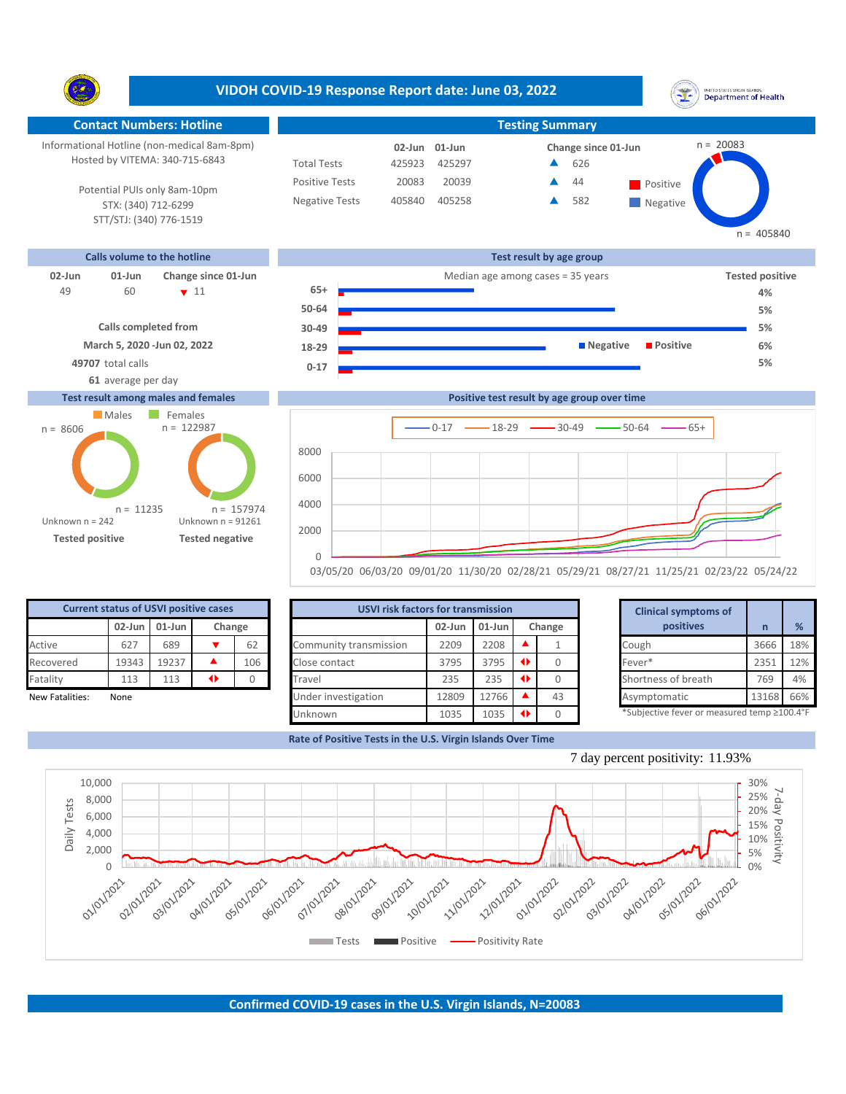



| <b>Current status of USVI positive cases</b> |       |                               |   |     | <b>USVI risk factors for transmission</b> |           |           |               |        | <b>Clinical symptoms of</b> |                                             |       |     |
|----------------------------------------------|-------|-------------------------------|---|-----|-------------------------------------------|-----------|-----------|---------------|--------|-----------------------------|---------------------------------------------|-------|-----|
|                                              |       | $02$ -Jun $01$ -Jun<br>Change |   |     |                                           | $02$ -Jun | $01$ -Jun |               | Change |                             | positives                                   |       | %   |
| Active                                       | 627   | 689                           |   | 62  | Community transmission                    | 2209      | 2208      |               |        |                             | Cough                                       | 3666  | 18% |
| Recovered                                    | 19343 | 19237                         |   | 106 | Close contact                             | 3795      | 3795      | $\rightarrow$ |        |                             | Fever*                                      | 2351  | 12% |
| Fatality                                     | 113   | 113                           | ◆ |     | Travel                                    | 235       | 235       | $\rightarrow$ |        |                             | Shortness of breath                         | 769   | 4%  |
| New Fatalities:                              | None  |                               |   |     | Under investigation                       | 12809     | 12766     |               | 43     |                             | Asymptomatic                                | 13168 | 66% |
|                                              |       |                               |   |     | Unknown                                   | 1035      | 1035      |               |        |                             | *Subjective fever or measured temp ≥100.4°F |       |     |

**Rate of Positive Tests in the U.S. Virgin Islands Over Time**





## 7 day percent positivity: 11.93%